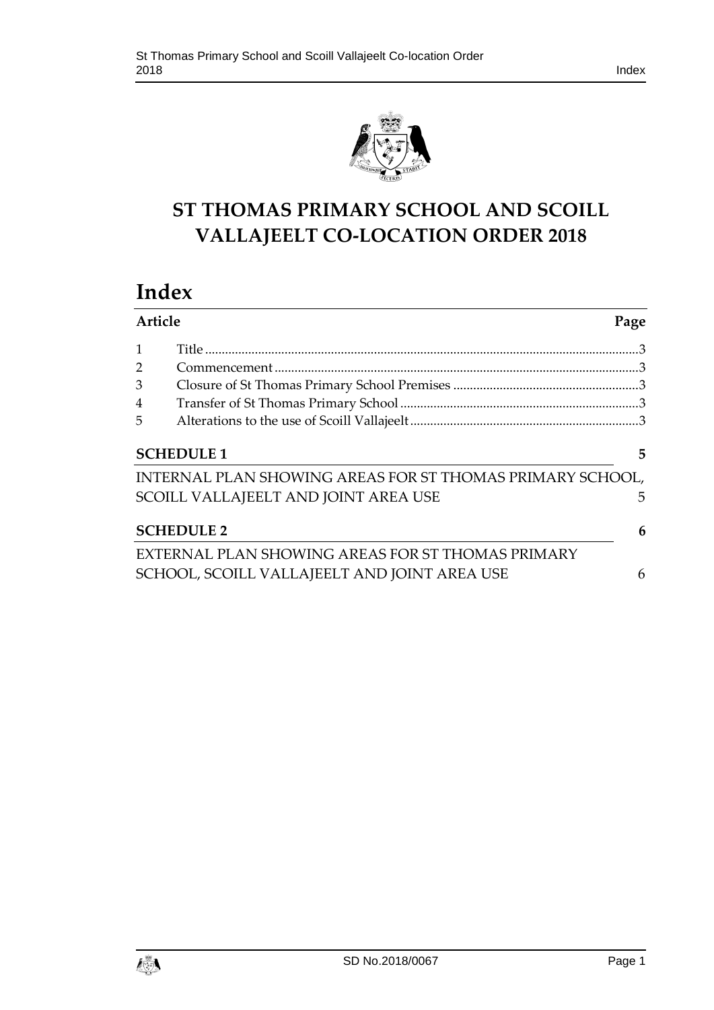



# **ST THOMAS PRIMARY SCHOOL AND SCOILL VALLAJEELT CO-LOCATION ORDER 2018**

# **Index**

| Article           |                                                           | Page |
|-------------------|-----------------------------------------------------------|------|
| $\mathbf{1}$      |                                                           |      |
| $\overline{2}$    |                                                           |      |
| 3                 |                                                           |      |
| $\overline{4}$    |                                                           |      |
| 5                 |                                                           |      |
| <b>SCHEDULE 1</b> |                                                           | 5    |
|                   | INTERNAL PLAN SHOWING AREAS FOR ST THOMAS PRIMARY SCHOOL, |      |
|                   | SCOILL VALLAJEELT AND JOINT AREA USE                      | 5    |
| <b>SCHEDULE 2</b> |                                                           | 6    |
|                   | EXTERNAL PLAN SHOWING AREAS FOR ST THOMAS PRIMARY         |      |
|                   | SCHOOL, SCOILL VALLAJEELT AND JOINT AREA USE              | 6    |

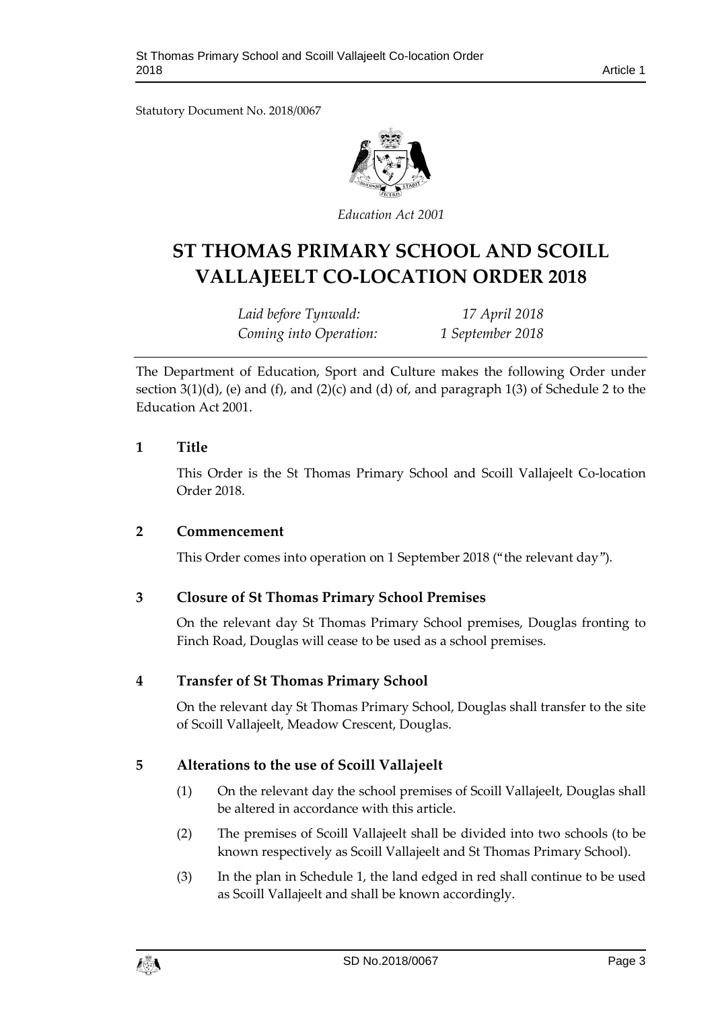Statutory Document No. 2018/0067



*Education Act 2001*

# **ST THOMAS PRIMARY SCHOOL AND SCOILL VALLAJEELT CO-LOCATION ORDER 2018**

*Laid before Tynwald: 17 April 2018 Coming into Operation: 1 September 2018*

The Department of Education, Sport and Culture makes the following Order under section  $3(1)(d)$ , (e) and  $(f)$ , and  $(2)(c)$  and  $(d)$  of, and paragraph  $1(3)$  of Schedule 2 to the Education Act 2001.

#### <span id="page-2-0"></span>**1 Title**

This Order is the St Thomas Primary School and Scoill Vallajeelt Co-location Order 2018.

#### <span id="page-2-1"></span>**2 Commencement**

This Order comes into operation on 1 September 2018 ("the relevant day").

## <span id="page-2-2"></span>**3 Closure of St Thomas Primary School Premises**

On the relevant day St Thomas Primary School premises, Douglas fronting to Finch Road, Douglas will cease to be used as a school premises.

#### <span id="page-2-3"></span>**4 Transfer of St Thomas Primary School**

On the relevant day St Thomas Primary School, Douglas shall transfer to the site of Scoill Vallajeelt, Meadow Crescent, Douglas.

## <span id="page-2-4"></span>**5 Alterations to the use of Scoill Vallajeelt**

- (1) On the relevant day the school premises of Scoill Vallajeelt, Douglas shall be altered in accordance with this article.
- (2) The premises of Scoill Vallajeelt shall be divided into two schools (to be known respectively as Scoill Vallajeelt and St Thomas Primary School).
- (3) In the plan in Schedule 1, the land edged in red shall continue to be used as Scoill Vallajeelt and shall be known accordingly.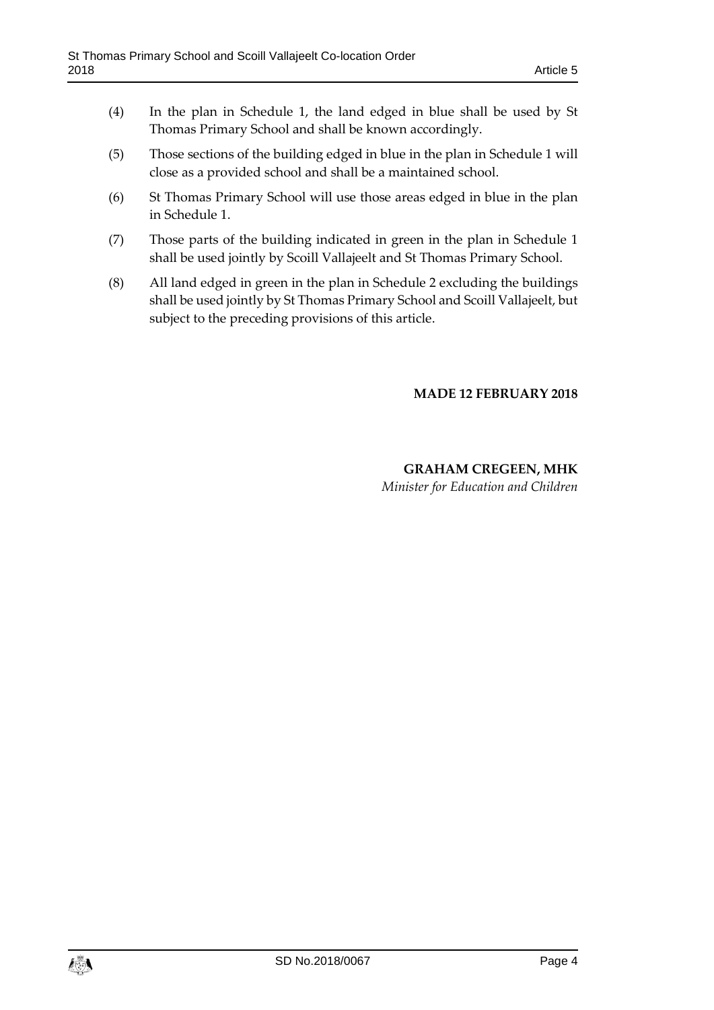- (4) In the plan in Schedule 1, the land edged in blue shall be used by St Thomas Primary School and shall be known accordingly.
- (5) Those sections of the building edged in blue in the plan in Schedule 1 will close as a provided school and shall be a maintained school.
- (6) St Thomas Primary School will use those areas edged in blue in the plan in Schedule 1.
- (7) Those parts of the building indicated in green in the plan in Schedule 1 shall be used jointly by Scoill Vallajeelt and St Thomas Primary School.
- (8) All land edged in green in the plan in Schedule 2 excluding the buildings shall be used jointly by St Thomas Primary School and Scoill Vallajeelt, but subject to the preceding provisions of this article.

#### **MADE 12 FEBRUARY 2018**

#### **GRAHAM CREGEEN, MHK** *Minister for Education and Children*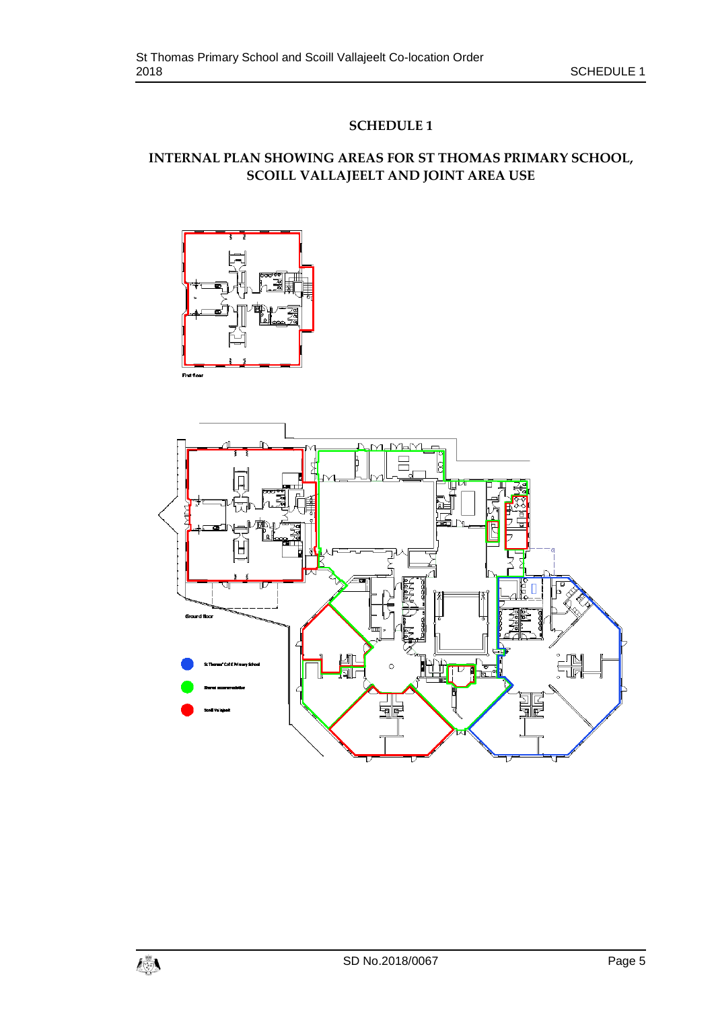## **SCHEDULE 1**

# <span id="page-4-1"></span><span id="page-4-0"></span>**INTERNAL PLAN SHOWING AREAS FOR ST THOMAS PRIMARY SCHOOL, SCOILL VALLAJEELT AND JOINT AREA USE**



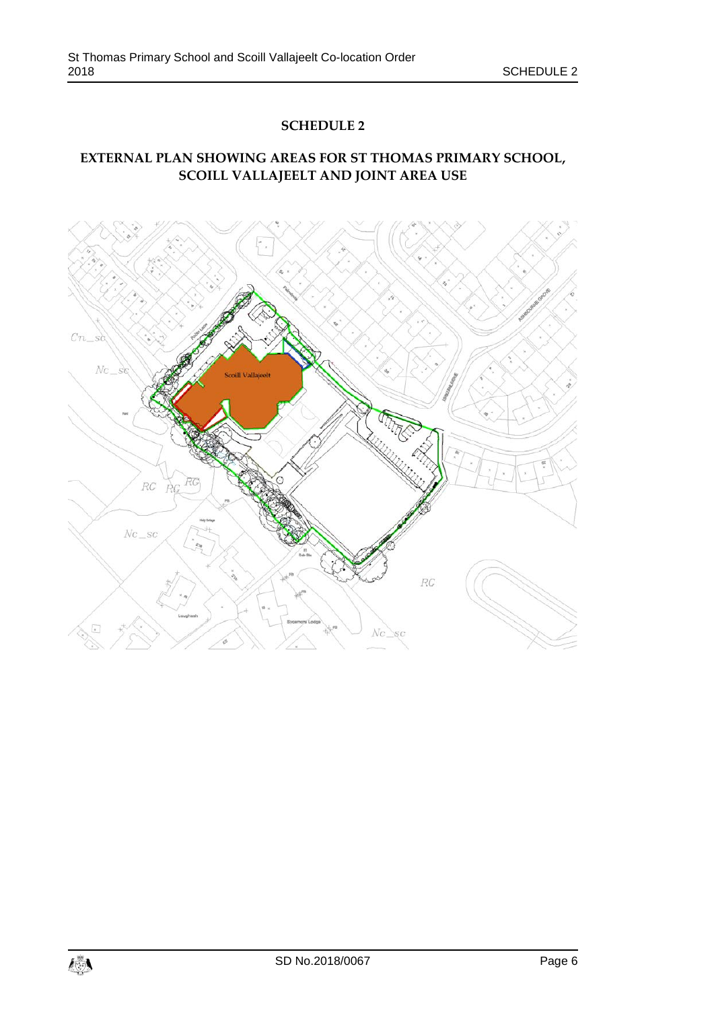#### **SCHEDULE 2**

# <span id="page-5-1"></span><span id="page-5-0"></span>**EXTERNAL PLAN SHOWING AREAS FOR ST THOMAS PRIMARY SCHOOL, SCOILL VALLAJEELT AND JOINT AREA USE**